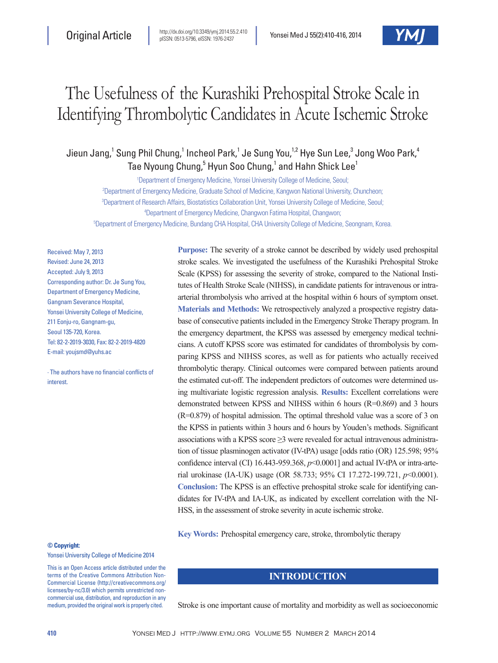# The Usefulness of the Kurashiki Prehospital Stroke Scale in Identifying Thrombolytic Candidates in Acute Ischemic Stroke

Jieun Jang, $^1$  Sung Phil Chung, $^1$  Incheol Park, $^1$  Je Sung You, $^{1,2}$  Hye Sun Lee, $^3$  Jong Woo Park, $^4$ Tae Nyoung Chung,<sup>5</sup> Hyun Soo Chung,<sup>1</sup> and Hahn Shick Lee<sup>1</sup>

 Department of Emergency Medicine, Yonsei University College of Medicine, Seoul; Department of Emergency Medicine, Graduate School of Medicine, Kangwon National University, Chuncheon; Department of Research Affairs, Biostatistics Collaboration Unit, Yonsei University College of Medicine, Seoul; Department of Emergency Medicine, Changwon Fatima Hospital, Changwon; Department of Emergency Medicine, Bundang CHA Hospital, CHA University College of Medicine, Seongnam, Korea.

Received: May 7, 2013 Revised: June 24, 2013 Accepted: July 9, 2013 Corresponding author: Dr. Je Sung You, Department of Emergency Medicine, Gangnam Severance Hospital, Yonsei University College of Medicine, 211 Eonju-ro, Gangnam-gu, Seoul 135-720, Korea. Tel: 82-2-2019-3030, Fax: 82-2-2019-4820 E-mail: youjsmd@yuhs.ac

∙ The authors have no financial conflicts of interest.

**Purpose:** The severity of a stroke cannot be described by widely used prehospital stroke scales. We investigated the usefulness of the Kurashiki Prehospital Stroke Scale (KPSS) for assessing the severity of stroke, compared to the National Institutes of Health Stroke Scale (NIHSS), in candidate patients for intravenous or intraarterial thrombolysis who arrived at the hospital within 6 hours of symptom onset. **Materials and Methods:** We retrospectively analyzed a prospective registry database of consecutive patients included in the Emergency Stroke Therapy program. In the emergency department, the KPSS was assessed by emergency medical technicians. A cutoff KPSS score was estimated for candidates of thrombolysis by comparing KPSS and NIHSS scores, as well as for patients who actually received thrombolytic therapy. Clinical outcomes were compared between patients around the estimated cut-off. The independent predictors of outcomes were determined using multivariate logistic regression analysis. **Results:** Excellent correlations were demonstrated between KPSS and NIHSS within 6 hours (R=0.869) and 3 hours (R=0.879) of hospital admission. The optimal threshold value was a score of 3 on the KPSS in patients within 3 hours and 6 hours by Youden's methods. Significant associations with a KPSS score  $\geq$ 3 were revealed for actual intravenous administration of tissue plasminogen activator (IV-tPA) usage [odds ratio (OR) 125.598; 95% confidence interval (CI) 16.443-959.368, *p*<0.0001] and actual IV-tPA or intra-arterial urokinase (IA-UK) usage (OR 58.733; 95% CI 17.272-199.721, *p*<0.0001). **Conclusion:** The KPSS is an effective prehospital stroke scale for identifying candidates for IV-tPA and IA-UK, as indicated by excellent correlation with the NI-HSS, in the assessment of stroke severity in acute ischemic stroke.

**Key Words:** Prehospital emergency care, stroke, thrombolytic therapy

#### **© Copyright:**

Yonsei University College of Medicine 2014

This is an Open Access article distributed under the terms of the Creative Commons Attribution Non-Commercial License (http://creativecommons.org/ licenses/by-nc/3.0) which permits unrestricted noncommercial use, distribution, and reproduction in any medium, provided the original work is properly cited.

## **INTRODUCTION**

Stroke is one important cause of mortality and morbidity as well as socioeconomic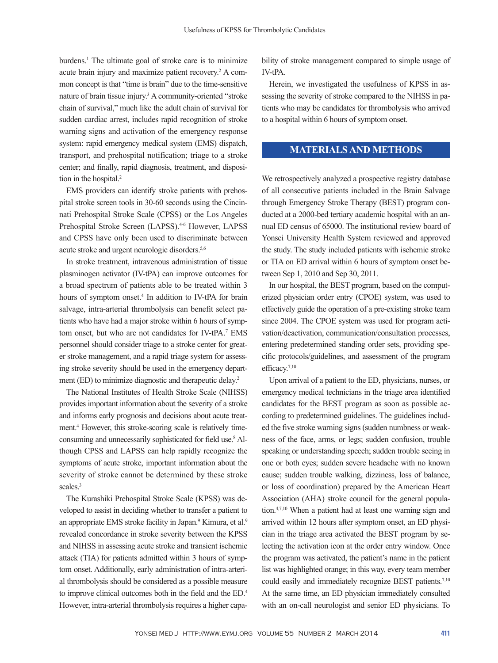burdens.<sup>1</sup> The ultimate goal of stroke care is to minimize acute brain injury and maximize patient recovery.<sup>2</sup> A common concept is that "time is brain" due to the time-sensitive nature of brain tissue injury.<sup>3</sup> A community-oriented "stroke" chain of survival," much like the adult chain of survival for sudden cardiac arrest, includes rapid recognition of stroke warning signs and activation of the emergency response system: rapid emergency medical system (EMS) dispatch, transport, and prehospital notification; triage to a stroke center; and finally, rapid diagnosis, treatment, and disposition in the hospital.<sup>2</sup>

EMS providers can identify stroke patients with prehospital stroke screen tools in 30-60 seconds using the Cincinnati Prehospital Stroke Scale (CPSS) or the Los Angeles Prehospital Stroke Screen (LAPSS).<sup>4-6</sup> However, LAPSS and CPSS have only been used to discriminate between acute stroke and urgent neurologic disorders.5,6

In stroke treatment, intravenous administration of tissue plasminogen activator (IV-tPA) can improve outcomes for a broad spectrum of patients able to be treated within 3 hours of symptom onset.<sup>4</sup> In addition to IV-tPA for brain salvage, intra-arterial thrombolysis can benefit select patients who have had a major stroke within 6 hours of symptom onset, but who are not candidates for IV-tPA.<sup>7</sup> EMS personnel should consider triage to a stroke center for greater stroke management, and a rapid triage system for assessing stroke severity should be used in the emergency department (ED) to minimize diagnostic and therapeutic delay.<sup>2</sup>

The National Institutes of Health Stroke Scale (NIHSS) provides important information about the severity of a stroke and informs early prognosis and decisions about acute treatment.<sup>4</sup> However, this stroke-scoring scale is relatively timeconsuming and unnecessarily sophisticated for field use.<sup>8</sup> Although CPSS and LAPSS can help rapidly recognize the symptoms of acute stroke, important information about the severity of stroke cannot be determined by these stroke scales.<sup>3</sup>

The Kurashiki Prehospital Stroke Scale (KPSS) was developed to assist in deciding whether to transfer a patient to an appropriate EMS stroke facility in Japan.<sup>9</sup> Kimura, et al.<sup>9</sup> revealed concordance in stroke severity between the KPSS and NIHSS in assessing acute stroke and transient ischemic attack (TIA) for patients admitted within 3 hours of symptom onset. Additionally, early administration of intra-arterial thrombolysis should be considered as a possible measure to improve clinical outcomes both in the field and the ED.4 However, intra-arterial thrombolysis requires a higher capability of stroke management compared to simple usage of IV-tPA.

Herein, we investigated the usefulness of KPSS in assessing the severity of stroke compared to the NIHSS in patients who may be candidates for thrombolysis who arrived to a hospital within 6 hours of symptom onset.

### **MATERIALS AND METHODS**

We retrospectively analyzed a prospective registry database of all consecutive patients included in the Brain Salvage through Emergency Stroke Therapy (BEST) program conducted at a 2000-bed tertiary academic hospital with an annual ED census of 65000. The institutional review board of Yonsei University Health System reviewed and approved the study. The study included patients with ischemic stroke or TIA on ED arrival within 6 hours of symptom onset between Sep 1, 2010 and Sep 30, 2011.

In our hospital, the BEST program, based on the computerized physician order entry (CPOE) system, was used to effectively guide the operation of a pre-existing stroke team since 2004. The CPOE system was used for program activation/deactivation, communication/consultation processes, entering predetermined standing order sets, providing specific protocols/guidelines, and assessment of the program efficacy.<sup>7,10</sup>

Upon arrival of a patient to the ED, physicians, nurses, or emergency medical technicians in the triage area identified candidates for the BEST program as soon as possible according to predetermined guidelines. The guidelines included the five stroke warning signs (sudden numbness or weakness of the face, arms, or legs; sudden confusion, trouble speaking or understanding speech; sudden trouble seeing in one or both eyes; sudden severe headache with no known cause; sudden trouble walking, dizziness, loss of balance, or loss of coordination) prepared by the American Heart Association (AHA) stroke council for the general population.4,7,10 When a patient had at least one warning sign and arrived within 12 hours after symptom onset, an ED physician in the triage area activated the BEST program by selecting the activation icon at the order entry window. Once the program was activated, the patient's name in the patient list was highlighted orange; in this way, every team member could easily and immediately recognize BEST patients.<sup>7,10</sup> At the same time, an ED physician immediately consulted with an on-call neurologist and senior ED physicians. To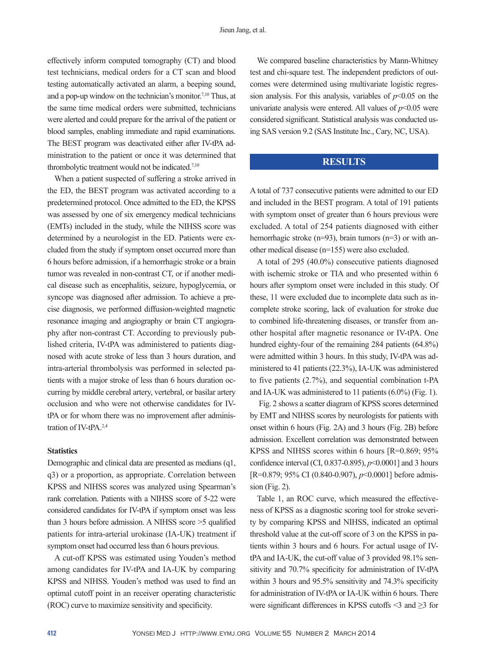effectively inform computed tomography (CT) and blood test technicians, medical orders for a CT scan and blood testing automatically activated an alarm, a beeping sound, and a pop-up window on the technician's monitor.<sup>7,10</sup> Thus, at the same time medical orders were submitted, technicians were alerted and could prepare for the arrival of the patient or blood samples, enabling immediate and rapid examinations. The BEST program was deactivated either after IV-tPA administration to the patient or once it was determined that thrombolytic treatment would not be indicated.7,10

When a patient suspected of suffering a stroke arrived in the ED, the BEST program was activated according to a predetermined protocol. Once admitted to the ED, the KPSS was assessed by one of six emergency medical technicians (EMTs) included in the study, while the NIHSS score was determined by a neurologist in the ED. Patients were excluded from the study if symptom onset occurred more than 6 hours before admission, if a hemorrhagic stroke or a brain tumor was revealed in non-contrast CT, or if another medical disease such as encephalitis, seizure, hypoglycemia, or syncope was diagnosed after admission. To achieve a precise diagnosis, we performed diffusion-weighted magnetic resonance imaging and angiography or brain CT angiography after non-contrast CT. According to previously published criteria, IV-tPA was administered to patients diagnosed with acute stroke of less than 3 hours duration, and intra-arterial thrombolysis was performed in selected patients with a major stroke of less than 6 hours duration occurring by middle cerebral artery, vertebral, or basilar artery occlusion and who were not otherwise candidates for IVtPA or for whom there was no improvement after administration of IV-tPA.2,4

#### **Statistics**

Demographic and clinical data are presented as medians (q1, q3) or a proportion, as appropriate. Correlation between KPSS and NIHSS scores was analyzed using Spearman's rank correlation. Patients with a NIHSS score of 5-22 were considered candidates for IV-tPA if symptom onset was less than 3 hours before admission. A NIHSS score >5 qualified patients for intra-arterial urokinase (IA-UK) treatment if symptom onset had occurred less than 6 hours previous.

A cut-off KPSS was estimated using Youden's method among candidates for IV-tPA and IA-UK by comparing KPSS and NIHSS. Youden's method was used to find an optimal cutoff point in an receiver operating characteristic (ROC) curve to maximize sensitivity and specificity.

We compared baseline characteristics by Mann-Whitney test and chi-square test. The independent predictors of outcomes were determined using multivariate logistic regression analysis. For this analysis, variables of  $p<0.05$  on the univariate analysis were entered. All values of  $p<0.05$  were considered significant. Statistical analysis was conducted using SAS version 9.2 (SAS Institute Inc., Cary, NC, USA).

# **RESULTS**

A total of 737 consecutive patients were admitted to our ED and included in the BEST program. A total of 191 patients with symptom onset of greater than 6 hours previous were excluded. A total of 254 patients diagnosed with either hemorrhagic stroke (n=93), brain tumors (n=3) or with another medical disease (n=155) were also excluded.

A total of 295 (40.0%) consecutive patients diagnosed with ischemic stroke or TIA and who presented within 6 hours after symptom onset were included in this study. Of these, 11 were excluded due to incomplete data such as incomplete stroke scoring, lack of evaluation for stroke due to combined life-threatening diseases, or transfer from another hospital after magnetic resonance or IV-tPA. One hundred eighty-four of the remaining 284 patients (64.8%) were admitted within 3 hours. In this study, IV-tPA was administered to 41 patients (22.3%), IA-UK was administered to five patients (2.7%), and sequential combination t-PA and IA-UK was administered to 11 patients (6.0%) (Fig. 1).

 Fig. 2 shows a scatter diagram of KPSS scores determined by EMT and NIHSS scores by neurologists for patients with onset within 6 hours (Fig. 2A) and 3 hours (Fig. 2B) before admission. Excellent correlation was demonstrated between KPSS and NIHSS scores within 6 hours [R=0.869; 95% confidence interval (CI, 0.837-0.895), *p*<0.0001] and 3 hours [R=0.879; 95% CI (0.840-0.907), *p*<0.0001] before admis $sion$  (Fig. 2).

Table 1, an ROC curve, which measured the effectiveness of KPSS as a diagnostic scoring tool for stroke severity by comparing KPSS and NIHSS, indicated an optimal threshold value at the cut-off score of 3 on the KPSS in patients within 3 hours and 6 hours. For actual usage of IVtPA and IA-UK, the cut-off value of 3 provided 98.1% sensitivity and 70.7% specificity for administration of IV-tPA within 3 hours and 95.5% sensitivity and 74.3% specificity for administration of IV-tPA or IA-UK within 6 hours. There were significant differences in KPSS cutoffs <3 and ≥3 for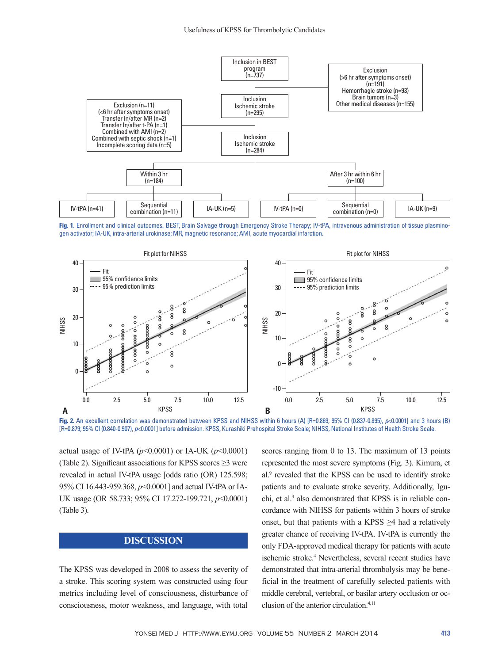

**Fig. 1.** Enrollment and clinical outcomes. BEST, Brain Salvage through Emergency Stroke Therapy; IV-tPA, intravenous administration of tissue plasminogen activator; IA-UK, intra-arterial urokinase; MR, magnetic resonance; AMI, acute myocardial infarction.



**Fig. 2.** An excellent correlation was demonstrated between KPSS and NIHSS within 6 hours (A) [R=0.869; 95% CI (0.837-0.895), *p*<0.0001] and 3 hours (B) [R=0.879; 95% CI (0.840-0.907), p<0.0001] before admission. KPSS, Kurashiki Prehospital Stroke Scale; NIHSS, National Institutes of Health Stroke Scale.

actual usage of IV-tPA (*p*<0.0001) or IA-UK (*p*<0.0001) (Table 2). Significant associations for KPSS scores  $\geq$ 3 were revealed in actual IV-tPA usage [odds ratio (OR) 125.598; 95% CI 16.443-959.368, *p*<0.0001] and actual IV-tPA or IA-UK usage (OR 58.733; 95% CI 17.272-199.721, *p*<0.0001) (Table 3).

### **DISCUSSION**

The KPSS was developed in 2008 to assess the severity of a stroke. This scoring system was constructed using four metrics including level of consciousness, disturbance of consciousness, motor weakness, and language, with total scores ranging from 0 to 13. The maximum of 13 points represented the most severe symptoms (Fig. 3). Kimura, et al.<sup>9</sup> revealed that the KPSS can be used to identify stroke patients and to evaluate stroke severity. Additionally, Iguchi, et al.<sup>3</sup> also demonstrated that KPSS is in reliable concordance with NIHSS for patients within 3 hours of stroke onset, but that patients with a KPSS  $\geq$ 4 had a relatively greater chance of receiving IV-tPA. IV-tPA is currently the only FDA-approved medical therapy for patients with acute ischemic stroke.<sup>4</sup> Nevertheless, several recent studies have demonstrated that intra-arterial thrombolysis may be beneficial in the treatment of carefully selected patients with middle cerebral, vertebral, or basilar artery occlusion or occlusion of the anterior circulation.4,11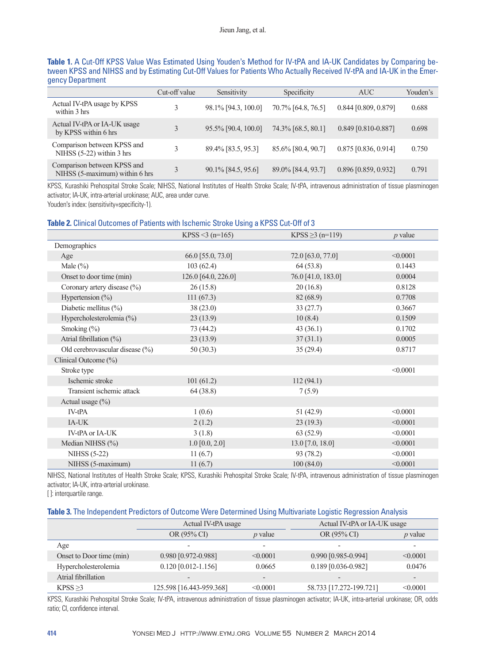| Table 1. A Cut-Off KPSS Value Was Estimated Using Youden's Method for IV-tPA and IA-UK Candidates by Comparing be-     |  |
|------------------------------------------------------------------------------------------------------------------------|--|
| tween KPSS and NIHSS and by Estimating Cut-Off Values for Patients Who Actually Received IV-tPA and IA-UK in the Emer- |  |
| gency Department                                                                                                       |  |

|                                                               | Cut-off value | Sensitivity         | Specificity        | <b>AUC</b>           | Youden's |
|---------------------------------------------------------------|---------------|---------------------|--------------------|----------------------|----------|
| Actual IV-tPA usage by KPSS<br>within 3 hrs                   | 3             | 98.1% [94.3, 100.0] | 70.7% [64.8, 76.5] | 0.844 [0.809, 0.879] | 0.688    |
| Actual IV-tPA or IA-UK usage<br>by KPSS within 6 hrs          | 3             | 95.5% [90.4, 100.0] | 74.3% [68.5, 80.1] | 0.849 [0.810-0.887]  | 0.698    |
| Comparison between KPSS and<br>NIHSS $(5-22)$ within 3 hrs    | 3             | 89.4% [83.5, 95.3]  | 85.6% [80.4, 90.7] | 0.875 [0.836, 0.914] | 0.750    |
| Comparison between KPSS and<br>NIHSS (5-maximum) within 6 hrs | 3             | 90.1% [84.5, 95.6]  | 89.0% [84.4, 93.7] | 0.896 [0.859, 0.932] | 0.791    |

KPSS, Kurashiki Prehospital Stroke Scale; NIHSS, National Institutes of Health Stroke Scale; IV-tPA, intravenous administration of tissue plasminogen activator; IA-UK, intra-arterial urokinase; AUC, area under curve.

Youden's index: (sensitivity+specificity-1).

#### **Table 2.** Clinical Outcomes of Patients with Ischemic Stroke Using a KPSS Cut-Off of 3

|                                 | KPSS <3 (n=165)     | KPSS $\geq$ 3 (n=119) | $p$ value |
|---------------------------------|---------------------|-----------------------|-----------|
| Demographics                    |                     |                       |           |
| Age                             | 66.0 [55.0, 73.0]   | 72.0 [63.0, 77.0]     | < 0.0001  |
| Male $(\%)$                     | 103(62.4)           | 64(53.8)              | 0.1443    |
| Onset to door time (min)        | 126.0 [64.0, 226.0] | 76.0 [41.0, 183.0]    | 0.0004    |
| Coronary artery disease (%)     | 26(15.8)            | 20(16.8)              | 0.8128    |
| Hypertension $(\%)$             | 111(67.3)           | 82 (68.9)             | 0.7708    |
| Diabetic mellitus $(\%)$        | 38(23.0)            | 33(27.7)              | 0.3667    |
| Hypercholesterolemia (%)        | 23(13.9)            | 10(8.4)               | 0.1509    |
| Smoking $(\% )$                 | 73 (44.2)           | 43(36.1)              | 0.1702    |
| Atrial fibrillation $(\%)$      | 23(13.9)            | 37(31.1)              | 0.0005    |
| Old cerebrovascular disease (%) | 50(30.3)            | 35(29.4)              | 0.8717    |
| Clinical Outcome (%)            |                     |                       |           |
| Stroke type                     |                     |                       | < 0.0001  |
| Ischemic stroke                 | 101(61.2)           | 112(94.1)             |           |
| Transient ischemic attack       | 64 (38.8)           | 7(5.9)                |           |
| Actual usage $(\% )$            |                     |                       |           |
| IV-tPA                          | 1(0.6)              | 51(42.9)              | < 0.0001  |
| IA-UK                           | 2(1.2)              | 23(19.3)              | < 0.0001  |
| <b>IV-tPA or IA-UK</b>          | 3(1.8)              | 63(52.9)              | < 0.0001  |
| Median NIHSS (%)                | $1.0$ [0.0, 2.0]    | $13.0$ [7.0, 18.0]    | < 0.0001  |
| <b>NIHSS (5-22)</b>             | 11(6.7)             | 93 (78.2)             | < 0.0001  |
| NIHSS (5-maximum)               | 11(6.7)             | 100(84.0)             | < 0.0001  |

NIHSS, National Institutes of Health Stroke Scale; KPSS, Kurashiki Prehospital Stroke Scale; IV-tPA, intravenous administration of tissue plasminogen activator; IA-UK, intra-arterial urokinase.

[]: interquartile range.

#### **Table 3.** The Independent Predictors of Outcome Were Determined Using Multivariate Logistic Regression Analysis

|                          | Actual IV-tPA usage      |                          | Actual IV-tPA or IA-UK usage |                          |  |
|--------------------------|--------------------------|--------------------------|------------------------------|--------------------------|--|
|                          | OR (95% CI)              | $p$ value                | OR (95% CI)                  | $p$ value                |  |
| Age                      | $\overline{\phantom{0}}$ | $\overline{\phantom{0}}$ |                              | $\overline{\phantom{0}}$ |  |
| Onset to Door time (min) | $0.980$ [0.972-0.988]    | < 0.0001                 | $0.990$ [0.985-0.994]        | < 0.0001                 |  |
| Hypercholesterolemia     | $0.120$ [0.012-1.156]    | 0.0665                   | $0.189$ [0.036-0.982]        | 0.0476                   |  |
| Atrial fibrillation      |                          | $\qquad \qquad$          |                              | $\overline{\phantom{0}}$ |  |
| KPSS > 3                 | 125.598 [16.443-959.368] | < 0.0001                 | 58.733 [17.272-199.721]      | < 0.0001                 |  |

KPSS, Kurashiki Prehospital Stroke Scale; IV-tPA, intravenous administration of tissue plasminogen activator; IA-UK, intra-arterial urokinase; OR, odds ratio; CI, confidence interval.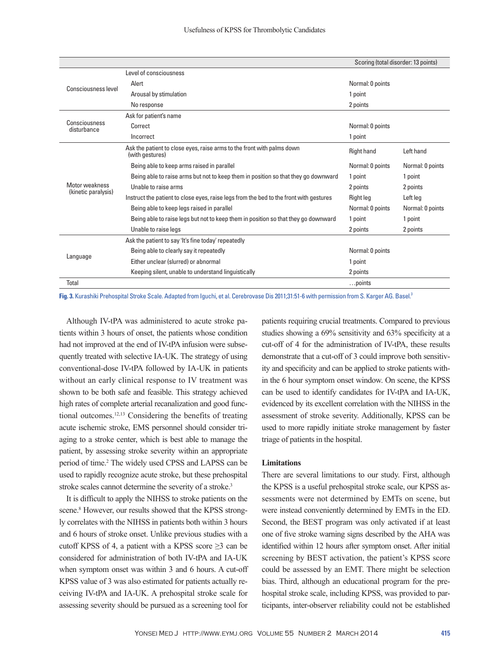|                                       | Scoring (total disorder: 13 points)                                                       |                  |                  |
|---------------------------------------|-------------------------------------------------------------------------------------------|------------------|------------------|
|                                       | Level of consciousness                                                                    |                  |                  |
| Consciousness level                   | Alert                                                                                     | Normal: 0 points |                  |
|                                       | Arousal by stimulation                                                                    | 1 point          |                  |
|                                       | No response                                                                               | 2 points         |                  |
|                                       | Ask for patient's name                                                                    |                  |                  |
| Consciousness<br>disturbance          | Correct                                                                                   | Normal: 0 points |                  |
|                                       | Incorrect                                                                                 | 1 point          |                  |
|                                       | Ask the patient to close eyes, raise arms to the front with palms down<br>(with gestures) | Right hand       | Left hand        |
|                                       | Being able to keep arms raised in parallel                                                | Normal: 0 points | Normal: 0 points |
|                                       | Being able to raise arms but not to keep them in position so that they go downward        | 1 point          | 1 point          |
| Motor weakness<br>(kinetic paralysis) | Unable to raise arms                                                                      | 2 points         | 2 points         |
|                                       | Instruct the patient to close eyes, raise legs from the bed to the front with gestures    | Right leg        | Left leg         |
|                                       | Being able to keep legs raised in parallel                                                | Normal: 0 points | Normal: 0 points |
|                                       | Being able to raise legs but not to keep them in position so that they go downward        | 1 point          | 1 point          |
|                                       | Unable to raise legs                                                                      | 2 points         | 2 points         |
| Language                              | Ask the patient to say 'It's fine today' repeatedly                                       |                  |                  |
|                                       | Being able to clearly say it repeatedly                                                   | Normal: 0 points |                  |
|                                       | Either unclear (slurred) or abnormal                                                      | 1 point          |                  |
|                                       | Keeping silent, unable to understand linguistically                                       | 2 points         |                  |
| Total                                 |                                                                                           | points           |                  |

Fig. 3. Kurashiki Prehospital Stroke Scale. Adapted from Iguchi, et al. Cerebrovase Dis 2011;31:51-6 with permission from S. Karger AG. Basel.<sup>3</sup>

Although IV-tPA was administered to acute stroke patients within 3 hours of onset, the patients whose condition had not improved at the end of IV-tPA infusion were subsequently treated with selective IA-UK. The strategy of using conventional-dose IV-tPA followed by IA-UK in patients without an early clinical response to IV treatment was shown to be both safe and feasible. This strategy achieved high rates of complete arterial recanalization and good functional outcomes.12,13 Considering the benefits of treating acute ischemic stroke, EMS personnel should consider triaging to a stroke center, which is best able to manage the patient, by assessing stroke severity within an appropriate period of time.<sup>2</sup> The widely used CPSS and LAPSS can be used to rapidly recognize acute stroke, but these prehospital stroke scales cannot determine the severity of a stroke.<sup>3</sup>

It is difficult to apply the NIHSS to stroke patients on the scene.<sup>8</sup> However, our results showed that the KPSS strongly correlates with the NIHSS in patients both within 3 hours and 6 hours of stroke onset. Unlike previous studies with a cutoff KPSS of 4, a patient with a KPSS score  $\geq$ 3 can be considered for administration of both IV-tPA and IA-UK when symptom onset was within 3 and 6 hours. A cut-off KPSS value of 3 was also estimated for patients actually receiving IV-tPA and IA-UK. A prehospital stroke scale for assessing severity should be pursued as a screening tool for

patients requiring crucial treatments. Compared to previous studies showing a 69% sensitivity and 63% specificity at a cut-off of 4 for the administration of IV-tPA, these results demonstrate that a cut-off of 3 could improve both sensitivity and specificity and can be applied to stroke patients within the 6 hour symptom onset window. On scene, the KPSS can be used to identify candidates for IV-tPA and IA-UK, evidenced by its excellent correlation with the NIHSS in the assessment of stroke severity. Additionally, KPSS can be used to more rapidly initiate stroke management by faster triage of patients in the hospital.

#### **Limitations**

There are several limitations to our study. First, although the KPSS is a useful prehospital stroke scale, our KPSS assessments were not determined by EMTs on scene, but were instead conveniently determined by EMTs in the ED. Second, the BEST program was only activated if at least one of five stroke warning signs described by the AHA was identified within 12 hours after symptom onset. After initial screening by BEST activation, the patient's KPSS score could be assessed by an EMT. There might be selection bias. Third, although an educational program for the prehospital stroke scale, including KPSS, was provided to participants, inter-observer reliability could not be established